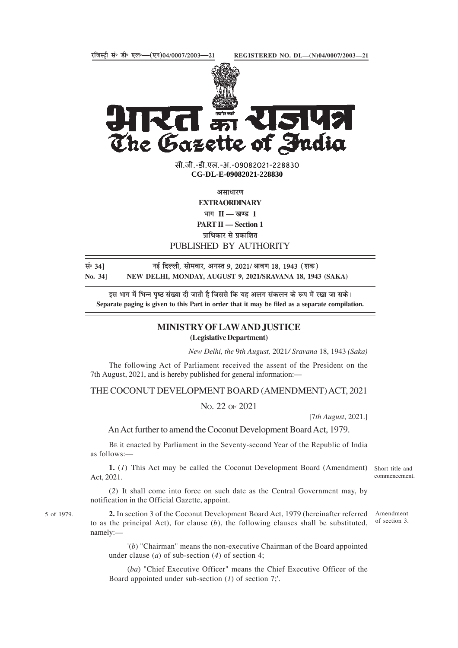

सी.जी.-डी.एल.-अ.-09082021-22883<mark>0</mark> **xxxGIDExxx CG-DL-E-09082021-228830**

असाधारण

**EXTRAORDINARY**

भाग II — खण्ड 1

**PART II — Section 1**

प्राधिकार से प्रकाशित

## PUBLISHED BY AUTHORITY

| सं॰ 34] | नई दिल्ली, सोमवार, अगस्त 9, 2021/ श्रावण 18, 1943 (शक)    |
|---------|-----------------------------------------------------------|
| No. 341 | NEW DELHI, MONDAY, AUGUST 9, 2021/SRAVANA 18, 1943 (SAKA) |

इस भाग में भिन्न पष्ठ संख्या दी जाती है जिससे कि यह अलग संकलन के रूप में रखा जा सके। **Separate paging is given to this Part in order that it may be filed as a separate compilation.**

## **MINISTRY OF LAW AND JUSTICE (Legislative Department)**

*New Delhi, the* 9*th August,* 2021*/ Sravana* 18, 1943 *(Saka)*

The following Act of Parliament received the assent of the President on the 7th August, 2021, and is hereby published for general information:—

THE COCONUT DEVELOPMENT BOARD (AMENDMENT) ACT, 2021

NO. 22 OF 2021

[7*th August*, 2021.]

An Act further to amend the Coconut Development Board Act, 1979.

BE it enacted by Parliament in the Seventy-second Year of the Republic of India as follows:—

1. (1) This Act may be called the Coconut Development Board (Amendment) Short title and Act, 2021.

(*2*) It shall come into force on such date as the Central Government may, by notification in the Official Gazette, appoint.

**2.** In section 3 of the Coconut Development Board Act, 1979 (hereinafter referred to as the principal Act), for clause (*b*), the following clauses shall be substituted, namely:— Amendment of section 3.

'(*b*) "Chairman" means the non-executive Chairman of the Board appointed under clause (*a*) of sub-section (*4*) of section 4;

(*ba*) "Chief Executive Officer" means the Chief Executive Officer of the Board appointed under sub-section (*1*) of section 7;'.

commencement.

5 of 1979.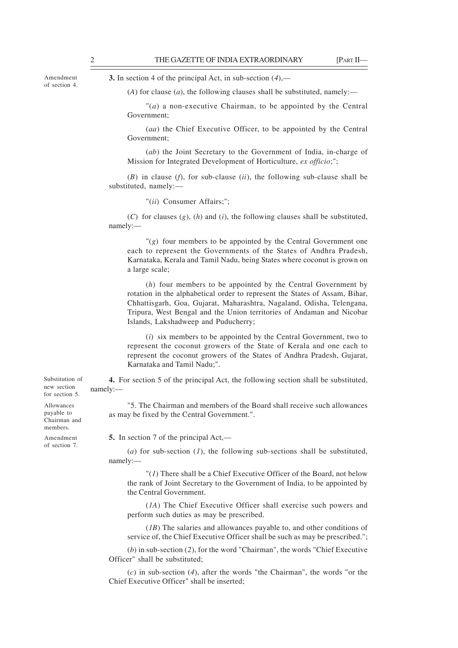Amendment of section 4. **3.** In section 4 of the principal Act, in sub-section (*4*),—

(*A*) for clause (*a*), the following clauses shall be substituted, namely:—

"(*a*) a non-executive Chairman, to be appointed by the Central Government;

(*aa*) the Chief Executive Officer, to be appointed by the Central Government;

(*ab*) the Joint Secretary to the Government of India, in-charge of Mission for Integrated Development of Horticulture, *ex officio*;";

(*B*) in clause (*f*), for sub-clause (*ii*), the following sub-clause shall be substituted, namely:—

"(*ii*) Consumer Affairs;";

(*C*) for clauses (*g*), (*h*) and (*i*), the following clauses shall be substituted, namely:—

"(*g*) four members to be appointed by the Central Government one each to represent the Governments of the States of Andhra Pradesh, Karnataka, Kerala and Tamil Nadu, being States where coconut is grown on a large scale;

(*h*) four members to be appointed by the Central Government by rotation in the alphabetical order to represent the States of Assam, Bihar, Chhattisgarh, Goa, Gujarat, Maharashtra, Nagaland, Odisha, Telengana, Tripura, West Bengal and the Union territories of Andaman and Nicobar Islands, Lakshadweep and Puducherry;

(*i*) six members to be appointed by the Central Government, two to represent the coconut growers of the State of Kerala and one each to represent the coconut growers of the States of Andhra Pradesh, Gujarat, Karnataka and Tamil Nadu;".

**4.** For section 5 of the principal Act, the following section shall be substituted, namely:—

"5. The Chairman and members of the Board shall receive such allowances as may be fixed by the Central Government.".

**5.** In section 7 of the principal Act,—

(*a*) for sub-section (*1*), the following sub-sections shall be substituted, namely:—

"(*1*) There shall be a Chief Executive Officer of the Board, not below the rank of Joint Secretary to the Government of India, to be appointed by the Central Government.

(*1A*) The Chief Executive Officer shall exercise such powers and perform such duties as may be prescribed.

(*1B*) The salaries and allowances payable to, and other conditions of service of, the Chief Executive Officer shall be such as may be prescribed.";

(*b*) in sub-section (*2*), for the word "Chairman", the words "Chief Executive Officer" shall be substituted;

(*c*) in sub-section (*4*), after the words "the Chairman", the words "or the Chief Executive Officer" shall be inserted;

for section 5. Allowances payable to Chairman and

Substitution of new section

members. Amendment of section 7.